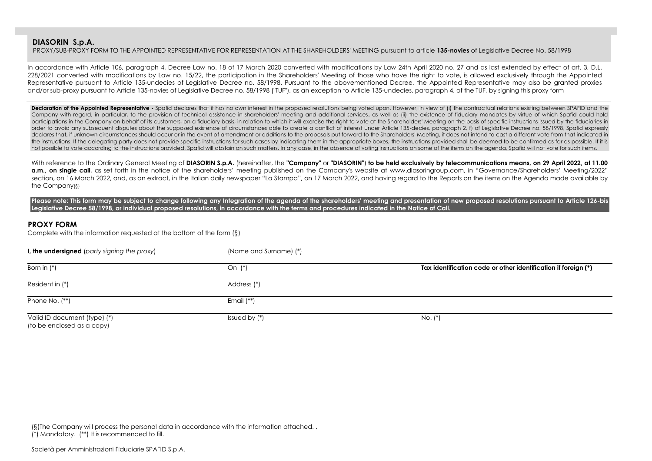PROXY/SUB-PROXY FORM TO THE APPOINTED REPRESENTATIVE FOR REPRESENTATION AT THE SHAREHOLDERS' MEETING pursuant to article **135-novies** of Legislative Decree No. 58/1998

In accordance with Article 106, paragraph 4, Decree Law no. 18 of 17 March 2020 converted with modifications by Law 24th April 2020 no. 27 and as last extended by effect of art. 3, D.L. 228/2021 converted with modifications by Law no. 15/22, the participation in the Shareholders' Meeting of those who have the right to vote, is allowed exclusively through the Appointed Representative pursuant to Article 135-undecies of Legislative Decree no. 58/1998. Pursuant to the abovementioned Decree, the Appointed Representative may also be granted proxies and/or sub-proxy pursuant to Article 135-novies of Legislative Decree no. 58/1998 ("TUF"), as an exception to Article 135-undecies, paragraph 4, of the TUF, by signing this proxy form

**Declaration of the Appointed Representative -** Spafid declares that it has no own interest in the proposed resolutions being voted upon. However, in view of (i) the contractual relations existing between SPAFID and the Company with regard, in particular, to the provision of technical assistance in shareholders' meeting and additional services, as well as (ii) the existence of fiduciary mandates by virtue of which Spafid could hold participations in the Company on behalf of its customers, on a fiduciary basis, in relation to which it will exercise the right to vote at the Shareholders' Meeting on the basis of specific instructions issued by the fiduc order to avoid any subsequent disputes about the supposed existence of circumstances able to create a conflict of interest under Article 135-decies, paragraph 2, f) of Legislative Decree no. 58/1998, Spafid expressly declares that, if unknown circumstances should occur or in the event of amendment or additions to the proposals put forward to the Shareholders' Meeting, it does not intend to cast a different vote from that indicated in the instructions. If the delegating party does not provide specific instructions for such cases by indicating them in the appropriate boxes, the instructions provided shall be deemed to be confirmed as far as possible. If not possible to vote according to the instructions provided, Spafid will abstain on such matters. In any case, in the absence of voting instructions on some of the items on the agenda, Spafid will not vote for such items.

With reference to the Ordinary General Meeting of DIASORIN S.p.A. (hereinafter, the "Company" or "DIASORIN") to be held exclusively by telecommunications means, on 29 April 2022, at 11.00 a.m., on single call, as set forth in the notice of the shareholders' meeting published on the Company's website at www.diasoringroup.com, in "Governance/Shareholders' Meeting/2022" section, on 16 March 2022, and, as an extract, in the Italian daily newspaper "La Stampa", on 17 March 2022, and having regard to the Reports on the items on the Agenda made available by the Company(§)

Please note: This form may be subject to change following any Integration of the agenda of the shareholders' meeting and presentation of new proposed resolutions pursuant to Article 126-bis **Legislative Decree 58/1998, or individual proposed resolutions, in accordance with the terms and procedures indicated in the Notice of Call.**

#### **PROXY FORM**

Complete with the information requested at the bottom of the form (§)

| I, the undersigned (party signing the proxy)               | (Name and Surname) (*) |                                                                |
|------------------------------------------------------------|------------------------|----------------------------------------------------------------|
| Born in $(*)$                                              | On $(*)$               | Tax identification code or other identification if foreign (*) |
| Resident in (*)                                            | Address (*)            |                                                                |
| Phone No. (**)                                             | Email $(**)$           |                                                                |
| Valid ID document (type) (*)<br>(to be enclosed as a copy) | Issued by (*)          | $No.$ $(*)$                                                    |

(§)The Company will process the personal data in accordance with the information attached. . (\*) Mandatory. (\*\*) It is recommended to fill.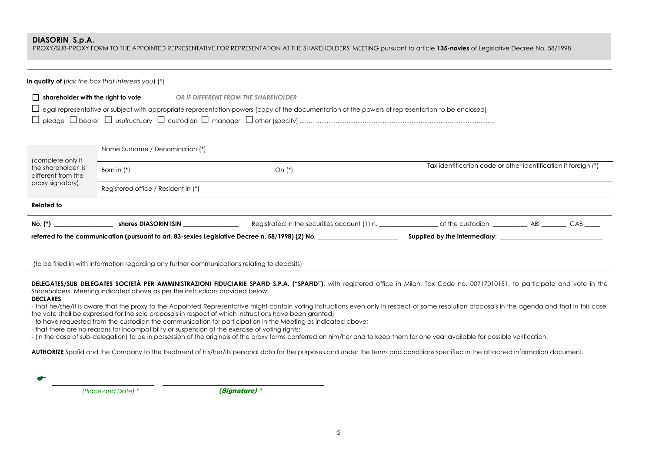PROXY/SUB-PROXY FORM TO THE APPOINTED REPRESENTATIVE FOR REPRESENTATION AT THE SHAREHOLDERS' MEETING pursuant to article **135-novies** of Legislative Decree No. 58/1998

|                                                               | <b>in quality of</b> (tick the box that interests you) $(*)$ |                                                                                                                                                                                                  |                                                                |  |
|---------------------------------------------------------------|--------------------------------------------------------------|--------------------------------------------------------------------------------------------------------------------------------------------------------------------------------------------------|----------------------------------------------------------------|--|
| $\Box$ shareholder with the right to vote                     |                                                              | OR IF DIFFERENT FROM THE SHAREHOLDER<br>$\Box$ legal representative or subject with appropriate representation powers (copy of the documentation of the powers of representation to be enclosed) |                                                                |  |
| (complete only if<br>the shareholder is<br>different from the | Name Surname / Denomination (*)<br>Born in $(*)$             | On $(*)$                                                                                                                                                                                         | Tax identification code or other identification if foreign (*) |  |
| proxy signatory)                                              | Registered office / Resident in (*)                          |                                                                                                                                                                                                  |                                                                |  |
| <b>Related to</b>                                             |                                                              |                                                                                                                                                                                                  |                                                                |  |
|                                                               | shares DIASORIN ISIN                                         | referred to the communication (pursuant to art. 83-sexies Legislative Decree n. 58/1998) (2) No.                                                                                                 |                                                                |  |

(to be filled in with information regarding any further communications relating to deposits)

**DELEGATES/SUB DELEGATES SOCIETÀ PER AMMINISTRAZIONI FIDUCIARIE SPAFID S.P.A. ("SPAFID")**, with registered office in Milan, Tax Code no. 00717010151, to participate and vote in the Shareholders' Meeting indicated above as per the instructions provided below.

#### **DECLARES**

- that he/she/it is aware that the proxy to the Appointed Representative might contain voting instructions even only in respect of some resolution proposals in the agenda and that in this case, the vote shall be expressed for the sole proposals in respect of which instructions have been granted;

- to have requested from the custodian the communication for participation in the Meeting as indicated above;

- that there are no reasons for incompatibility or suspension of the exercise of voting rights;

- (in the case of sub-delegation) to be in possession of the originals of the proxy forms conferred on him/her and to keep them for one year available for possible verification.

AUTHORIZE Spafid and the Company to the treatment of his/her/its personal data for the purposes and under the terms and conditions specified in the attached information document.

| (Place and Date) * | (Signature) * |
|--------------------|---------------|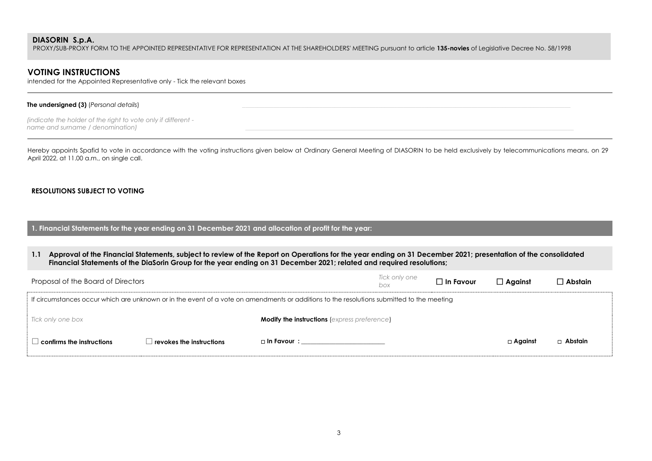PROXY/SUB-PROXY FORM TO THE APPOINTED REPRESENTATIVE FOR REPRESENTATION AT THE SHAREHOLDERS' MEETING pursuant to article **135-novies** of Legislative Decree No. 58/1998

## **VOTING INSTRUCTIONS**

intended for the Appointed Representative only - Tick the relevant boxes

#### **The undersigned (3)** *(Personal details)*

*(indicate the holder of the right to vote only if different name and surname / denomination)* 

Hereby appoints Spafid to vote in accordance with the voting instructions given below at Ordinary General Meeting of DIASORIN to be held exclusively by telecommunications means, on 29 April 2022, at 11.00 a.m., on single call.

#### **RESOLUTIONS SUBJECT TO VOTING**

**1. Financial Statements for the year ending on 31 December 2021 and allocation of profit for the year:**

**1.1 Approval of the Financial Statements, subject to review of the Report on Operations for the year ending on 31 December 2021; presentation of the consolidated Financial Statements of the DiaSorin Group for the year ending on 31 December 2021; related and required resolutions;**

| Proposal of the Board of Directors                                                                                                        |                                                           |                                                     | Tick only one<br>box | $\Box$ In Favour | $\Box$ Against | $\Box$ Abstain |  |  |
|-------------------------------------------------------------------------------------------------------------------------------------------|-----------------------------------------------------------|-----------------------------------------------------|----------------------|------------------|----------------|----------------|--|--|
| If circumstances occur which are unknown or in the event of a vote on amendments or additions to the resolutions submitted to the meeting |                                                           |                                                     |                      |                  |                |                |  |  |
| Tick only one box                                                                                                                         |                                                           | <b>Modify the instructions (express preference)</b> |                      |                  |                |                |  |  |
| $\perp$ confirms the instructions                                                                                                         | $\perp$ revokes the instructions $\overline{\phantom{a}}$ | □ In Favour : ___________________                   |                      |                  | $\Box$ Against | $\Box$ Abstain |  |  |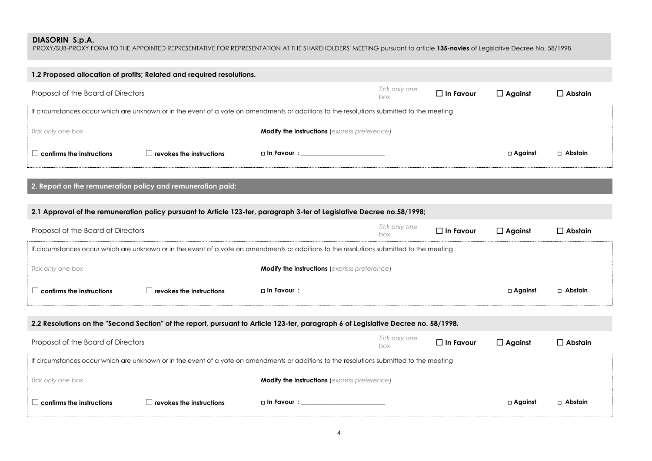PROXY/SUB-PROXY FORM TO THE APPOINTED REPRESENTATIVE FOR REPRESENTATION AT THE SHAREHOLDERS' MEETING pursuant to article **135-novies** of Legislative Decree No. 58/1998

| 1.2 Proposed allocation of profits; Related and required resolutions. |                                                                                                                                           |                           |                      |                  |                |                |  |  |  |  |
|-----------------------------------------------------------------------|-------------------------------------------------------------------------------------------------------------------------------------------|---------------------------|----------------------|------------------|----------------|----------------|--|--|--|--|
| Proposal of the Board of Directors                                    |                                                                                                                                           |                           | Tick only one<br>box | $\Box$ In Favour | $\Box$ Against | $\Box$ Abstain |  |  |  |  |
|                                                                       | If circumstances occur which are unknown or in the event of a vote on amendments or additions to the resolutions submitted to the meeting |                           |                      |                  |                |                |  |  |  |  |
| Tick only one box                                                     | <b>Modify the instructions (express preference)</b>                                                                                       |                           |                      |                  |                |                |  |  |  |  |
| confirms the instructions                                             | revokes the instructions                                                                                                                  | $\Box$ In Favour $\colon$ |                      |                  | □ Against      | $\Box$ Abstain |  |  |  |  |

**2. Report on the remuneration policy and remuneration paid:**

### **2.1 Approval of the remuneration policy pursuant to Article 123-ter, paragraph 3-ter of Legislative Decree no.58/1998;**

| Proposal of the Board of Directors                                                                                                        |                          |                                                     | Tick only one<br>box | $\Box$ In Favour | $\Box$ Against | ] Abstain. |  |  |
|-------------------------------------------------------------------------------------------------------------------------------------------|--------------------------|-----------------------------------------------------|----------------------|------------------|----------------|------------|--|--|
| If circumstances occur which are unknown or in the event of a vote on amendments or additions to the resolutions submitted to the meeting |                          |                                                     |                      |                  |                |            |  |  |
| Tick only one box                                                                                                                         |                          | <b>Modify the instructions (express preference)</b> |                      |                  |                |            |  |  |
| $\Box$ confirms the instructions                                                                                                          | revokes the instructions | □ In Favour : _________________                     |                      |                  | $\Box$ Against | □ Abstain  |  |  |

### **2.2 Resolutions on the "Second Section" of the report, pursuant to Article 123-ter, paragraph 6 of Legislative Decree no. 58/1998.**

| Proposal of the Board of Directors |                          |                                                                                                                                           | Tick only one<br>box | $\square$ In Favour | $\Box$ Against | $\Box$ Abstain |
|------------------------------------|--------------------------|-------------------------------------------------------------------------------------------------------------------------------------------|----------------------|---------------------|----------------|----------------|
|                                    |                          | If circumstances occur which are unknown or in the event of a vote on amendments or additions to the resolutions submitted to the meeting |                      |                     |                |                |
| Tick only one box                  |                          | <b>Modify the instructions (express preference)</b>                                                                                       |                      |                     |                |                |
| $\perp$ confirms the instructions  | revokes the instructions | □ In Favour :                                                                                                                             |                      |                     | $\Box$ Against | □ Abstain      |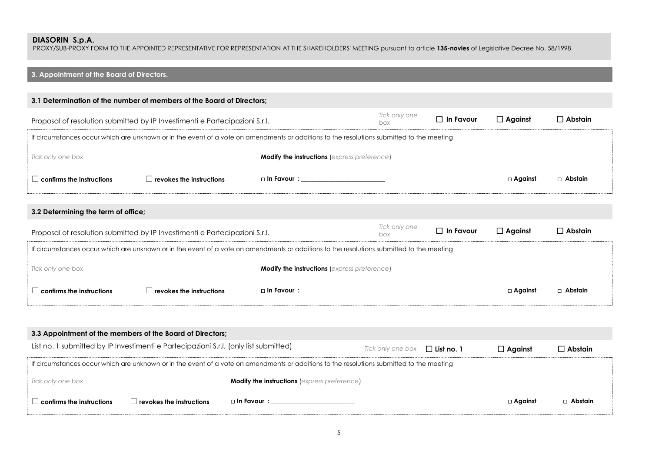PROXY/SUB-PROXY FORM TO THE APPOINTED REPRESENTATIVE FOR REPRESENTATION AT THE SHAREHOLDERS' MEETING pursuant to article **135-novies** of Legislative Decree No. 58/1998

# **3. Appointment of the Board of Directors.**

| 3.1 Determination of the number of members of the Board of Directors;                                                                     |  |                                                                             |                                                                                                                                                       |                                                                                                                                           |                |  |  |  |  |
|-------------------------------------------------------------------------------------------------------------------------------------------|--|-----------------------------------------------------------------------------|-------------------------------------------------------------------------------------------------------------------------------------------------------|-------------------------------------------------------------------------------------------------------------------------------------------|----------------|--|--|--|--|
| Tick only one<br>$\Box$ In Favour<br>Proposal of resolution submitted by IP Investimenti e Partecipazioni S.r.l.<br>box                   |  |                                                                             |                                                                                                                                                       |                                                                                                                                           |                |  |  |  |  |
| If circumstances occur which are unknown or in the event of a vote on amendments or additions to the resolutions submitted to the meeting |  |                                                                             |                                                                                                                                                       |                                                                                                                                           |                |  |  |  |  |
|                                                                                                                                           |  |                                                                             |                                                                                                                                                       |                                                                                                                                           |                |  |  |  |  |
| $\Box$ revokes the instructions                                                                                                           |  |                                                                             |                                                                                                                                                       | $\Box$ Against                                                                                                                            | $\Box$ Abstain |  |  |  |  |
|                                                                                                                                           |  |                                                                             |                                                                                                                                                       |                                                                                                                                           |                |  |  |  |  |
| 3.2 Determining the term of office;                                                                                                       |  |                                                                             |                                                                                                                                                       |                                                                                                                                           |                |  |  |  |  |
|                                                                                                                                           |  | Tick only one<br>box                                                        | $\Box$ In Favour                                                                                                                                      | $\Box$ Against                                                                                                                            | $\Box$ Abstain |  |  |  |  |
|                                                                                                                                           |  |                                                                             |                                                                                                                                                       |                                                                                                                                           |                |  |  |  |  |
|                                                                                                                                           |  |                                                                             |                                                                                                                                                       |                                                                                                                                           |                |  |  |  |  |
|                                                                                                                                           |  | □ In Favour : ____________________________                                  |                                                                                                                                                       | $\Box$ Against                                                                                                                            | □ Abstain      |  |  |  |  |
|                                                                                                                                           |  | Proposal of resolution submitted by IP Investimenti e Partecipazioni S.r.l. | <b>Modify the instructions (express preference)</b><br>□ In Favour : _________________________<br><b>Modify the instructions (express preference)</b> | If circumstances occur which are unknown or in the event of a vote on amendments or additions to the resolutions submitted to the meeting | $\Box$ Against |  |  |  |  |

| 3.3 Appointment of the members of the Board of Directors;                             |                                                                                                                                           |                                                     |                   |                |                |                |  |  |  |  |
|---------------------------------------------------------------------------------------|-------------------------------------------------------------------------------------------------------------------------------------------|-----------------------------------------------------|-------------------|----------------|----------------|----------------|--|--|--|--|
| List no. 1 submitted by IP Investimenti e Partecipazioni S.r.I. (only list submitted) |                                                                                                                                           | Tick only one box                                   | $\Box$ List no. 1 | $\Box$ Against | $\Box$ Abstain |                |  |  |  |  |
|                                                                                       | If circumstances occur which are unknown or in the event of a vote on amendments or additions to the resolutions submitted to the meeting |                                                     |                   |                |                |                |  |  |  |  |
| Tick only one box                                                                     |                                                                                                                                           | <b>Modify the instructions (express preference)</b> |                   |                |                |                |  |  |  |  |
| $\perp$ confirms the instructions                                                     | revokes the instructions                                                                                                                  | □ In Favour :                                       |                   |                | $\Box$ Against | $\Box$ Abstain |  |  |  |  |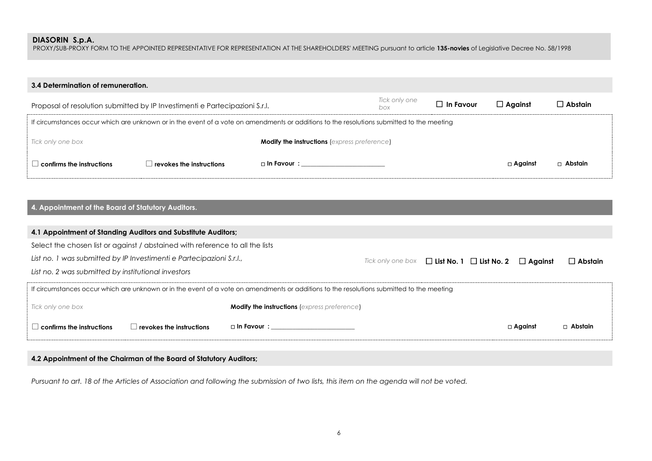PROXY/SUB-PROXY FORM TO THE APPOINTED REPRESENTATIVE FOR REPRESENTATION AT THE SHAREHOLDERS' MEETING pursuant to article **135-novies** of Legislative Decree No. 58/1998

| 3.4 Determination of remuneration.                                          |                                                                                                                                           |                                                     |                      |                  |                |                |  |  |  |
|-----------------------------------------------------------------------------|-------------------------------------------------------------------------------------------------------------------------------------------|-----------------------------------------------------|----------------------|------------------|----------------|----------------|--|--|--|
| Proposal of resolution submitted by IP Investimenti e Partecipazioni S.r.l. |                                                                                                                                           |                                                     | Tick only one<br>box | $\Box$ In Favour | $\Box$ Against | $\Box$ Abstain |  |  |  |
|                                                                             | If circumstances occur which are unknown or in the event of a vote on amendments or additions to the resolutions submitted to the meeting |                                                     |                      |                  |                |                |  |  |  |
| Tick only one box                                                           |                                                                                                                                           | <b>Modify the instructions (express preference)</b> |                      |                  |                |                |  |  |  |
| $\,$ confirms the instructions $\,$                                         | $\perp$ revokes the instructions                                                                                                          | □ In Favour : ____________________                  |                      |                  | $\Box$ Against | $\Box$ Abstain |  |  |  |

### **4. Appointment of the Board of Statutory Auditors.**

| 4.1 Appointment of Standing Auditors and Substitute Auditors;                                                                             |                                                       |  |  |                |                |                |  |  |  |
|-------------------------------------------------------------------------------------------------------------------------------------------|-------------------------------------------------------|--|--|----------------|----------------|----------------|--|--|--|
| Select the chosen list or against / abstained with reference to all the lists                                                             |                                                       |  |  |                |                |                |  |  |  |
| List no. 1 was submitted by IP Investimenti e Partecipazioni S.r.l.,                                                                      | Tick only one box $\Box$ List No. 1 $\Box$ List No. 2 |  |  | $\Box$ Against | $\Box$ Abstain |                |  |  |  |
| List no. 2 was submitted by institutional investors                                                                                       |                                                       |  |  |                |                |                |  |  |  |
| If circumstances occur which are unknown or in the event of a vote on amendments or additions to the resolutions submitted to the meeting |                                                       |  |  |                |                |                |  |  |  |
| Tick only one box                                                                                                                         | <b>Modify the instructions</b> (express preference)   |  |  |                |                |                |  |  |  |
| confirms the instructions<br>$\blacksquare$ revokes the instructions                                                                      | $\Box$ In Favour $\colon$                             |  |  |                | $\Box$ Against | $\Box$ Abstain |  |  |  |

### **4.2 Appointment of the Chairman of the Board of Statutory Auditors;**

*Pursuant to art. 18 of the Articles of Association and following the submission of two lists, this item on the agenda will not be voted.*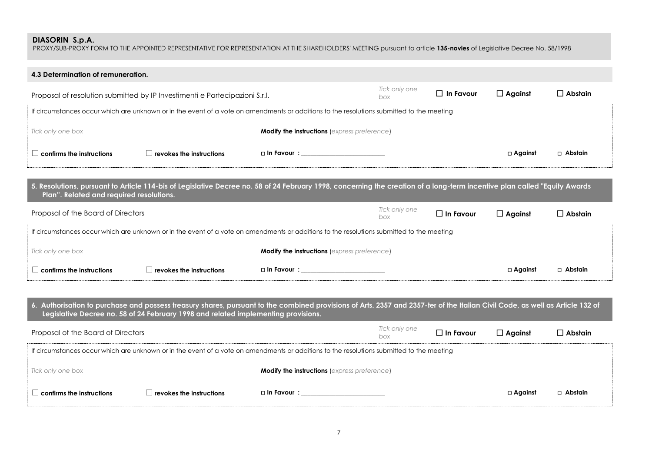PROXY/SUB-PROXY FORM TO THE APPOINTED REPRESENTATIVE FOR REPRESENTATION AT THE SHAREHOLDERS' MEETING pursuant to article **135-novies** of Legislative Decree No. 58/1998

| 4.3 Determination of remuneration.                                                 |                                                                                                                                           |                                                     |               |                  |                   |                |  |  |  |
|------------------------------------------------------------------------------------|-------------------------------------------------------------------------------------------------------------------------------------------|-----------------------------------------------------|---------------|------------------|-------------------|----------------|--|--|--|
| Proposal of resolution submitted by IP Investimenti e Partecipazioni S.r.l.<br>box |                                                                                                                                           |                                                     | Tick only one | $\Box$ In Favour | $\Box$ Against    | $\Box$ Abstain |  |  |  |
|                                                                                    | If circumstances occur which are unknown or in the event of a vote on amendments or additions to the resolutions submitted to the meeting |                                                     |               |                  |                   |                |  |  |  |
| Tick only one box                                                                  |                                                                                                                                           | <b>Modify the instructions (express preference)</b> |               |                  |                   |                |  |  |  |
| $\,$ confirms the instructions $\,$                                                | revokes the instructions                                                                                                                  | $\square$ In Favour $\square$                       |               |                  | $\square$ Against | $\Box$ Abstain |  |  |  |

**5. Resolutions, pursuant to Article 114-bis of Legislative Decree no. 58 of 24 February 1998, concerning the creation of a long-term incentive plan called "Equity Awards Plan". Related and required resolutions.**

| Proposal of the Board of Directors                                                                                                        |                                         |                                                     | Tick only one<br>box | $\Box$ In Favour | $\Box$ Against | ] Abstain |  |  |
|-------------------------------------------------------------------------------------------------------------------------------------------|-----------------------------------------|-----------------------------------------------------|----------------------|------------------|----------------|-----------|--|--|
| If circumstances occur which are unknown or in the event of a vote on amendments or additions to the resolutions submitted to the meeting |                                         |                                                     |                      |                  |                |           |  |  |
| Tick only one box                                                                                                                         |                                         | <b>Modify the instructions (express preference)</b> |                      |                  |                |           |  |  |
| $\mathsf{l}$ confirms the instructions                                                                                                    | $\blacksquare$ revokes the instructions | □ In Favour :                                       |                      |                  | $\Box$ Against | □ Abstain |  |  |

**6. Authorisation to purchase and possess treasury shares, pursuant to the combined provisions of Arts. 2357 and 2357-ter of the Italian Civil Code, as well as Article 132 of Legislative Decree no. 58 of 24 February 1998 and related implementing provisions.** Proposal of the Board of Directors *Tick only one box* **In Favour Against Abstain** If circumstances occur which are unknown or in the event of a vote on amendments or additions to the resolutions submitted to the meeting *Tick only one box* **Modify the instructions** (*express preference*) **confirms the instructions revokes the instructions In Favour : \_\_\_\_\_\_\_\_\_\_\_\_\_\_\_\_\_\_\_\_\_\_\_\_\_\_\_ Against Abstain**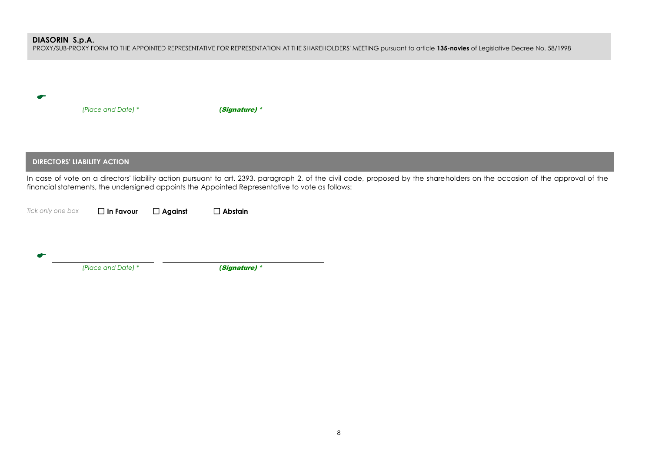PROXY/SUB-PROXY FORM TO THE APPOINTED REPRESENTATIVE FOR REPRESENTATION AT THE SHAREHOLDERS' MEETING pursuant to article **135-novies** of Legislative Decree No. 58/1998

| (Place and Date) * |                                    | (Signature) *  |                                                                                                 |                                                                                                                                                                             |
|--------------------|------------------------------------|----------------|-------------------------------------------------------------------------------------------------|-----------------------------------------------------------------------------------------------------------------------------------------------------------------------------|
|                    |                                    |                |                                                                                                 |                                                                                                                                                                             |
|                    | <b>DIRECTORS' LIABILITY ACTION</b> |                |                                                                                                 |                                                                                                                                                                             |
|                    |                                    |                | financial statements, the undersigned appoints the Appointed Representative to vote as follows: | In case of vote on a directors' liability action pursuant to art. 2393, paragraph 2, of the civil code, proposed by the shareholders on the occasion of the approval of the |
| Tick only one box  | $\Box$ In Favour                   | $\Box$ Against | $\Box$ Abstain                                                                                  |                                                                                                                                                                             |
|                    |                                    |                |                                                                                                 |                                                                                                                                                                             |
|                    | (Place and Date) *                 |                | (Signature) *                                                                                   |                                                                                                                                                                             |
|                    |                                    |                |                                                                                                 |                                                                                                                                                                             |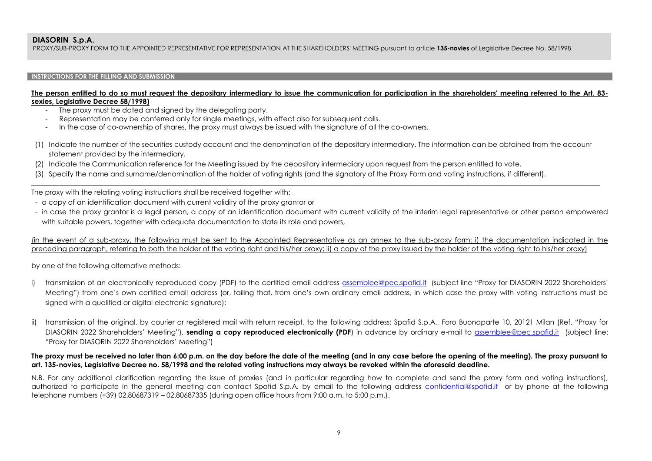PROXY/SUB-PROXY FORM TO THE APPOINTED REPRESENTATIVE FOR REPRESENTATION AT THE SHAREHOLDERS' MEETING pursuant to article **135-novies** of Legislative Decree No. 58/1998

#### **INSTRUCTIONS FOR THE FILLING AND SUBMISSION**

#### **The person entitled to do so must request the depositary intermediary to issue the communication for participation in the shareholders' meeting referred to the Art. 83 sexies, Legislative Decree 58/1998)**

- The proxy must be dated and signed by the delegating party.
- Representation may be conferred only for single meetings, with effect also for subsequent calls.
- In the case of co-ownership of shares, the proxy must always be issued with the signature of all the co-owners.
- (1) Indicate the number of the securities custody account and the denomination of the depositary intermediary. The information can be obtained from the account statement provided by the intermediary.

\_\_\_\_\_\_\_\_\_\_\_\_\_\_\_\_\_\_\_\_\_\_\_\_\_\_\_\_\_\_\_\_\_\_\_\_\_\_\_\_\_\_\_\_\_\_\_\_\_\_\_\_\_\_\_\_\_\_\_\_\_\_\_\_\_\_\_\_\_\_\_\_\_\_\_\_\_\_\_\_\_\_\_\_\_\_\_\_\_\_\_\_\_\_\_\_\_\_\_\_\_\_\_\_\_\_\_\_\_\_\_\_\_\_\_\_\_\_\_\_\_\_\_\_\_\_\_\_\_\_\_\_\_\_\_\_\_\_\_\_\_\_\_\_\_\_\_\_\_\_\_\_\_\_\_\_\_\_\_\_\_\_\_

- (2) Indicate the Communication reference for the Meeting issued by the depositary intermediary upon request from the person entitled to vote.
- (3) Specify the name and surname/denomination of the holder of voting rights (and the signatory of the Proxy Form and voting instructions, if different).

The proxy with the relating voting instructions shall be received together with:

- a copy of an identification document with current validity of the proxy grantor or
- in case the proxy grantor is a legal person, a copy of an identification document with current validity of the interim legal representative or other person empowered with suitable powers, together with adequate documentation to state its role and powers,

(in the event of a sub-proxy, the following must be sent to the Appointed Representative as an annex to the sub-proxy form: i) the documentation indicated in the preceding paragraph, referring to both the holder of the voting right and his/her proxy; ii) a copy of the proxy issued by the holder of the voting right to his/her proxy)

by one of the following alternative methods:

- i) transmission of an electronically reproduced copy (PDF) to the certified email address [assemblee@pec.spafid.it](mailto:assemblee@pec.spafid.it) (subject line "Proxy for DIASORIN 2022 Shareholders' Meeting") from one's own certified email address (or, failing that, from one's own ordinary email address, in which case the proxy with voting instructions must be signed with a qualified or digital electronic signature);
- ii) transmission of the original, by courier or registered mail with return receipt, to the following address: Spafid S.p.A., Foro Buonaparte 10, 20121 Milan (Ref. "Proxy for DIASORIN 2022 Shareholders' Meeting"), **sending a copy reproduced electronically (PDF**) in advance by ordinary e-mail to [assemblee@pec.spafid.it](mailto:assemblee@pec.spafid.it) (subject line: "Proxy for DIASORIN 2022 Shareholders' Meeting")

#### **The proxy must be received no later than 6:00 p.m. on the day before the date of the meeting (and in any case before the opening of the meeting). The proxy pursuant to art. 135-novies, Legislative Decree no. 58/1998 and the related voting instructions may always be revoked within the aforesaid deadline.**

N.B. For any additional clarification regarding the issue of proxies (and in particular regarding how to complete and send the proxy form and voting instructions), authorized to participate in the general meeting can contact Spafid S.p.A. by email to the following address [confidential@spafid.it](mailto:confidential@spafid.it) or by phone at the following telephone numbers (+39) 02.80687319 – 02.80687335 (during open office hours from 9:00 a.m. to 5:00 p.m.).